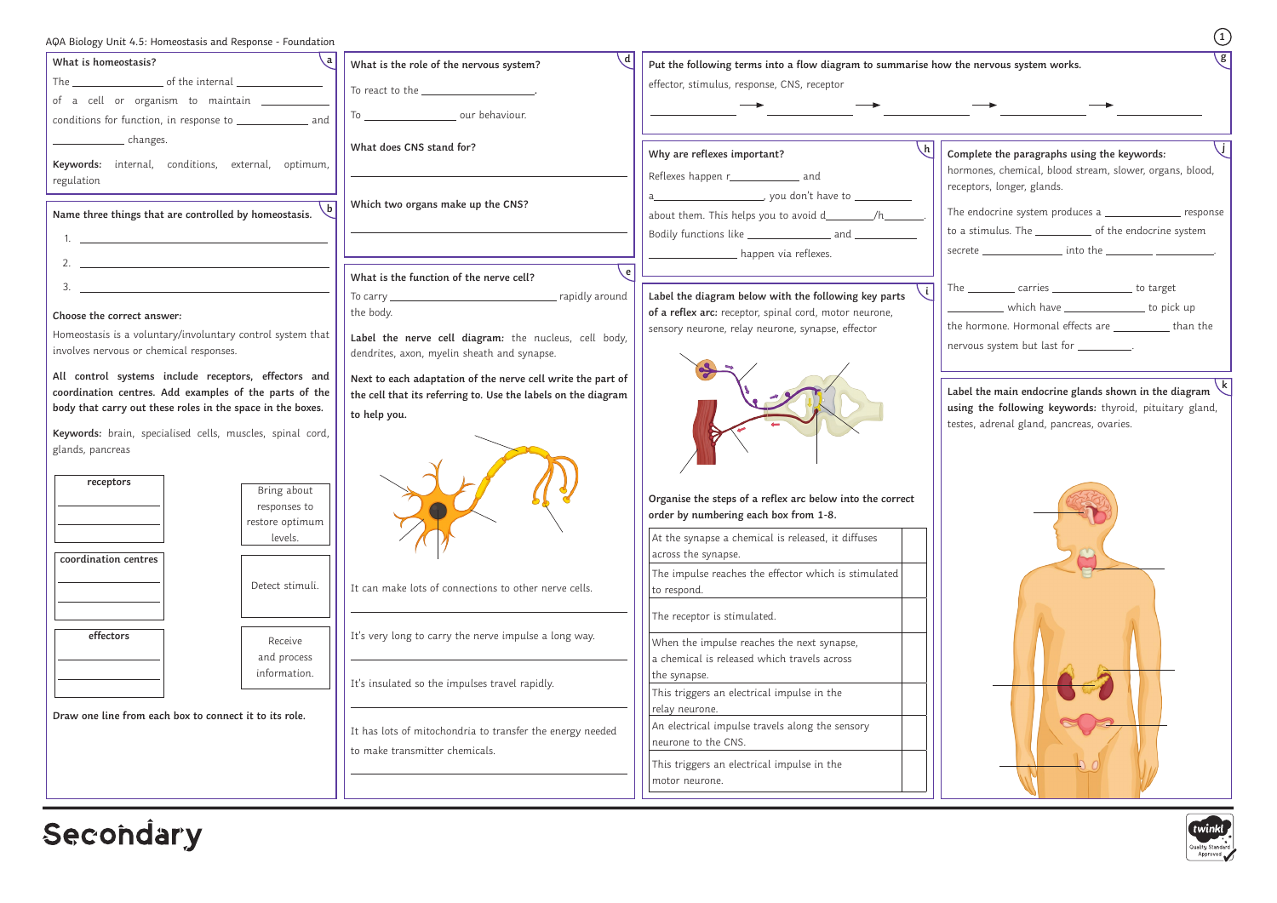|                                                                                                                                                                              |                                                                                                                                              | Put the following terms into a flow diagram to summarise how the nervous system works.                             |                                                                                                                        |
|------------------------------------------------------------------------------------------------------------------------------------------------------------------------------|----------------------------------------------------------------------------------------------------------------------------------------------|--------------------------------------------------------------------------------------------------------------------|------------------------------------------------------------------------------------------------------------------------|
|                                                                                                                                                                              | To react to the _______________________.                                                                                                     | effector, stimulus, response, CNS, receptor                                                                        |                                                                                                                        |
| of a cell or organism to maintain ___________                                                                                                                                | To _________________________ our behaviour.                                                                                                  |                                                                                                                    |                                                                                                                        |
| _ changes.                                                                                                                                                                   | What does CNS stand for?                                                                                                                     | Why are reflexes important?                                                                                        | Complete the paragraphs using the keywords:                                                                            |
| Keywords: internal, conditions, external, optimum,<br>regulation                                                                                                             |                                                                                                                                              |                                                                                                                    | hormones, chemical, blood stream, slower, organs, blood,<br>receptors, longer, glands.                                 |
| Name three things that are controlled by homeostasis.                                                                                                                        | Which two organs make up the CNS?                                                                                                            |                                                                                                                    | The endocrine system produces a ________________ response<br>to a stimulus. The ______________ of the endocrine system |
| 1. <u>______________________________</u><br>2. $\qquad \qquad$                                                                                                               |                                                                                                                                              | happen via reflexes.                                                                                               |                                                                                                                        |
| $\overline{\mathbf{3.}}$                                                                                                                                                     | What is the function of the nerve cell?                                                                                                      | l i 、<br>Label the diagram below with the following key parts                                                      | The ____________ carries ___________________ to target                                                                 |
| Choose the correct answer:                                                                                                                                                   | the body.                                                                                                                                    | of a reflex arc: receptor, spinal cord, motor neurone,<br>sensory neurone, relay neurone, synapse, effector        | _______________ which have ____________________ to pick up<br>the hormone. Hormonal effects are ___________ than the   |
| Homeostasis is a voluntary/involuntary control system that<br>involves nervous or chemical responses.                                                                        | Label the nerve cell diagram: the nucleus, cell body,<br>dendrites, axon, myelin sheath and synapse.                                         |                                                                                                                    | nervous system but last for __________.                                                                                |
| All control systems include receptors, effectors and<br>coordination centres. Add examples of the parts of the<br>body that carry out these roles in the space in the boxes. | Next to each adaptation of the nerve cell write the part of<br>the cell that its referring to. Use the labels on the diagram<br>to help you. |                                                                                                                    | Label the main endocrine glands shown in the diagram<br>using the following keywords: thyroid, pituitary gland,        |
| Keywords: brain, specialised cells, muscles, spinal cord,<br>glands, pancreas<br>receptors<br>Bring about<br>responses to                                                    |                                                                                                                                              | Organise the steps of a reflex arc below into the correct                                                          | testes, adrenal gland, pancreas, ovaries.                                                                              |
| restore optimum<br>levels.                                                                                                                                                   |                                                                                                                                              | order by numbering each box from 1-8.<br>At the synapse a chemical is released, it diffuses<br>across the synapse. |                                                                                                                        |
| coordination centres<br>Detect stimuli.                                                                                                                                      | It can make lots of connections to other nerve cells.                                                                                        | The impulse reaches the effector which is stimulated<br>to respond.                                                |                                                                                                                        |
|                                                                                                                                                                              |                                                                                                                                              | The receptor is stimulated.                                                                                        |                                                                                                                        |
| effectors<br>Receive<br>and process                                                                                                                                          | It's very long to carry the nerve impulse a long way.                                                                                        | When the impulse reaches the next synapse,<br>a chemical is released which travels across                          |                                                                                                                        |
| information.                                                                                                                                                                 | It's insulated so the impulses travel rapidly.                                                                                               | the synapse.<br>This triggers an electrical impulse in the                                                         |                                                                                                                        |
| Draw one line from each box to connect it to its role.                                                                                                                       | It has lots of mitochondria to transfer the energy needed<br>to make transmitter chemicals.                                                  | relay neurone.<br>An electrical impulse travels along the sensory<br>neurone to the CNS.                           |                                                                                                                        |
|                                                                                                                                                                              |                                                                                                                                              | This triggers an electrical impulse in the<br>motor neurone.                                                       |                                                                                                                        |

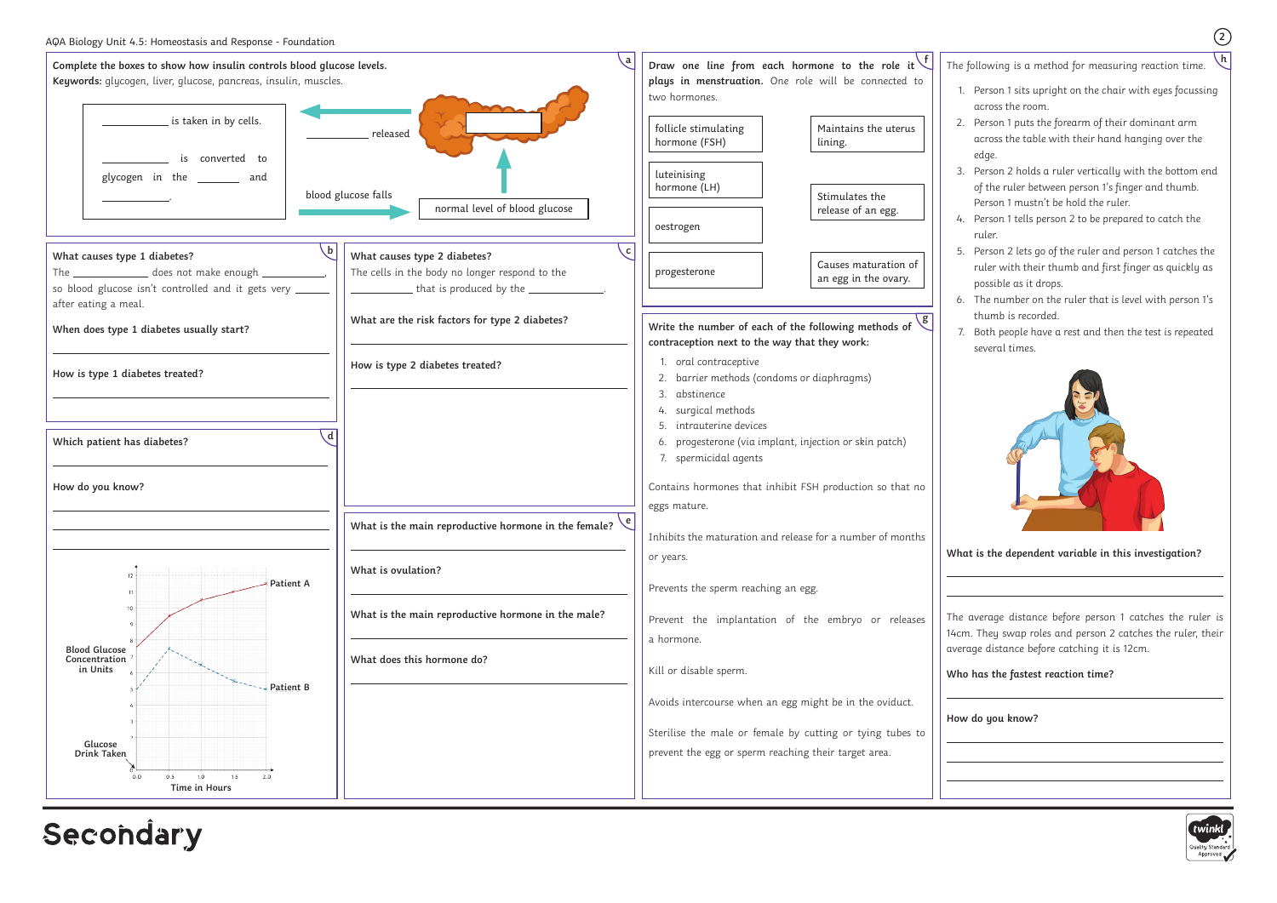- 1. Person 1 sits upright on the chair with eyes focussing across the room.
- 2. Person 1 puts the forearm of their dominant arm across the table with their hand hanging over the edge.
- 3. Person 2 holds a ruler vertically with the bottom end of the ruler between person 1's finger and thumb. Person 1 mustn't be hold the ruler.
- 4. Person 1 tells person 2 to be prepared to catch the ruler.
- 5. Person 2 lets go of the ruler and person 1 catches the ruler with their thumb and first finger as quickly as possible as it drops.
- 6. The number on the ruler that is level with person 1's thumb is recorded.
- 7. Both people have a rest and then the test is repeated several times.



### **What is the dependent variable in this investigation?**

The average distance before person 1 catches the ruler is 14cm. They swap roles and person 2 catches the ruler, their average distance before catching it is 12cm.

## **Who has the fastest reaction time?**

### **How do you know?**





Secondary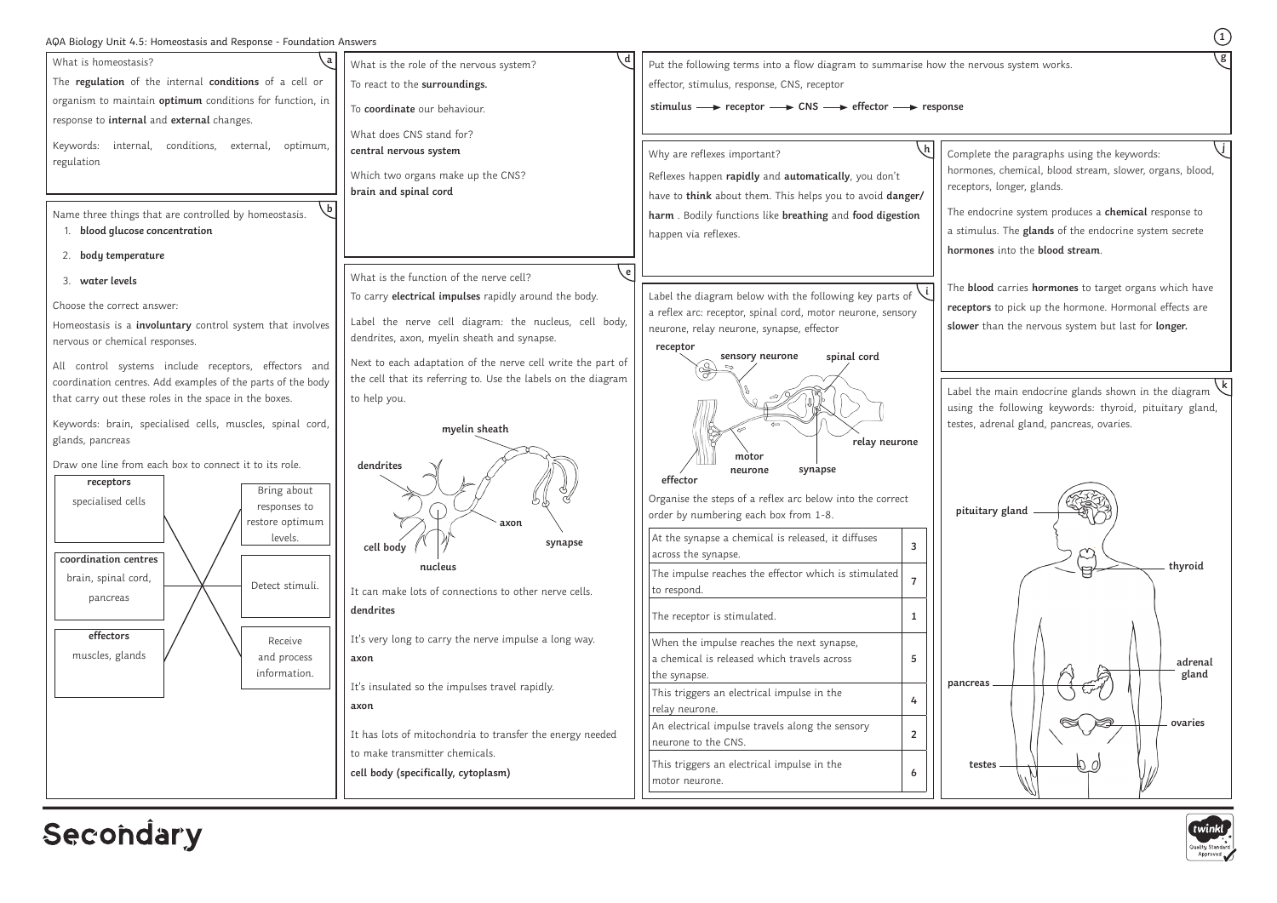## AQA Biology Unit 4.5: Homeostasis and Response - Foundation Answers **<sup>1</sup>**

**<sup>h</sup>** Complete the paragraphs using the keywords: mones, chemical, blood stream, slower, organs, blood, eptors, longer, glands.

**blood** carries **hormones** to target organs which have **receptors** to pick up the hormone. Hormonal effects are **slower** than the nervous system but last for **longer.**

el the main endocrine glands shown in the diagram 1g the following keywords: thyroid, pituitary gland, tes, adrenal gland, pancreas, ovaries. **k**



| What is homeostasis?<br>. a<br>The regulation of the internal conditions of a cell or<br>organism to maintain optimum conditions for function, in<br>response to internal and external changes.<br>internal, conditions, external,<br>Keywords:<br>optimum,<br>regulation                                                                                                                                                                                                                                                                                          | What is the role of the nervous system?<br>To react to the surroundings.<br>To coordinate our behaviour.<br>What does CNS stand for?<br>central nervous system<br>Which two organs make up the CNS?                                                                                                                                                                                         | Put the following terms into a flow diagram to summarise how the<br>effector, stimulus, response, CNS, receptor<br>stimulus $\longrightarrow$ receptor $\longrightarrow$ CNS $\longrightarrow$ effector $\longrightarrow$ response<br>Why are reflexes important?<br>Com<br>horr<br>Reflexes happen rapidly and automatically, you don't                                                                                                                                                                                                                 |
|--------------------------------------------------------------------------------------------------------------------------------------------------------------------------------------------------------------------------------------------------------------------------------------------------------------------------------------------------------------------------------------------------------------------------------------------------------------------------------------------------------------------------------------------------------------------|---------------------------------------------------------------------------------------------------------------------------------------------------------------------------------------------------------------------------------------------------------------------------------------------------------------------------------------------------------------------------------------------|----------------------------------------------------------------------------------------------------------------------------------------------------------------------------------------------------------------------------------------------------------------------------------------------------------------------------------------------------------------------------------------------------------------------------------------------------------------------------------------------------------------------------------------------------------|
| Name three things that are controlled by homeostasis.<br>blood glucose concentration<br>body temperature<br>2.                                                                                                                                                                                                                                                                                                                                                                                                                                                     | brain and spinal cord                                                                                                                                                                                                                                                                                                                                                                       | rece<br>have to think about them. This helps you to avoid danger/<br>The<br>harm. Bodily functions like breathing and food digestion<br>a sti<br>happen via reflexes.<br>hori                                                                                                                                                                                                                                                                                                                                                                            |
| 3. water levels<br>Choose the correct answer:<br>Homeostasis is a <i>involuntary</i> control system that involves<br>nervous or chemical responses.<br>All control systems include receptors, effectors and<br>coordination centres. Add examples of the parts of the body<br>that carry out these roles in the space in the boxes.<br>Keywords: brain, specialised cells, muscles, spinal cord,<br>glands, pancreas<br>Draw one line from each box to connect it to its role.<br>receptors<br>Bring about<br>specialised cells<br>responses to<br>restore optimum | e<br>What is the function of the nerve cell?<br>To carry electrical impulses rapidly around the body.<br>Label the nerve cell diagram: the nucleus, cell body,<br>dendrites, axon, myelin sheath and synapse.<br>Next to each adaptation of the nerve cell write the part of<br>the cell that its referring to. Use the labels on the diagram<br>to help you.<br>myelin sheath<br>dendrites | The<br>Label the diagram below with the following key parts of<br>rece<br>a reflex arc: receptor, spinal cord, motor neurone, sensory<br>slow<br>neurone, relay neurone, synapse, effector<br>receptor<br>sensory neurone<br>spinal cord<br>Lab <sub>6</sub><br>usin<br>teste<br>relay neurone<br>motor<br>neurone<br>synapse<br>effector<br>Organise the steps of a reflex arc below into the correct<br>pi<br>order by numbering each box from 1-8.                                                                                                    |
| levels.<br>coordination centres<br>brain, spinal cord,<br>Detect stimuli.<br>pancreas<br>effectors<br>Receive<br>muscles, glands<br>and process<br>information.                                                                                                                                                                                                                                                                                                                                                                                                    | axon<br>synapse<br>cell body<br>nucleus<br>It can make lots of connections to other nerve cells.<br>dendrites<br>It's very long to carry the nerve impulse a long way.<br>axon<br>It's insulated so the impulses travel rapidly.<br>axon<br>It has lots of mitochondria to transfer the energy needed<br>to make transmitter chemicals.<br>cell body (specifically, cytoplasm)              | At the synapse a chemical is released, it diffuses<br>3<br>across the synapse.<br>The impulse reaches the effector which is stimulated<br>to respond.<br>The receptor is stimulated.<br>1<br>When the impulse reaches the next synapse,<br>a chemical is released which travels across<br>5<br>the synapse.<br>pan<br>This triggers an electrical impulse in the<br>4<br>relay neurone.<br>An electrical impulse travels along the sensory<br>$\overline{2}$<br>neurone to the CNS.<br>This triggers an electrical impulse in the<br>6<br>motor neurone. |

# **Secondary**

nervous system works.

The endocrine system produces a **chemical** response to imulus. The **glands** of the endocrine system secrete **hormones** into the **blood stream**.

**j**